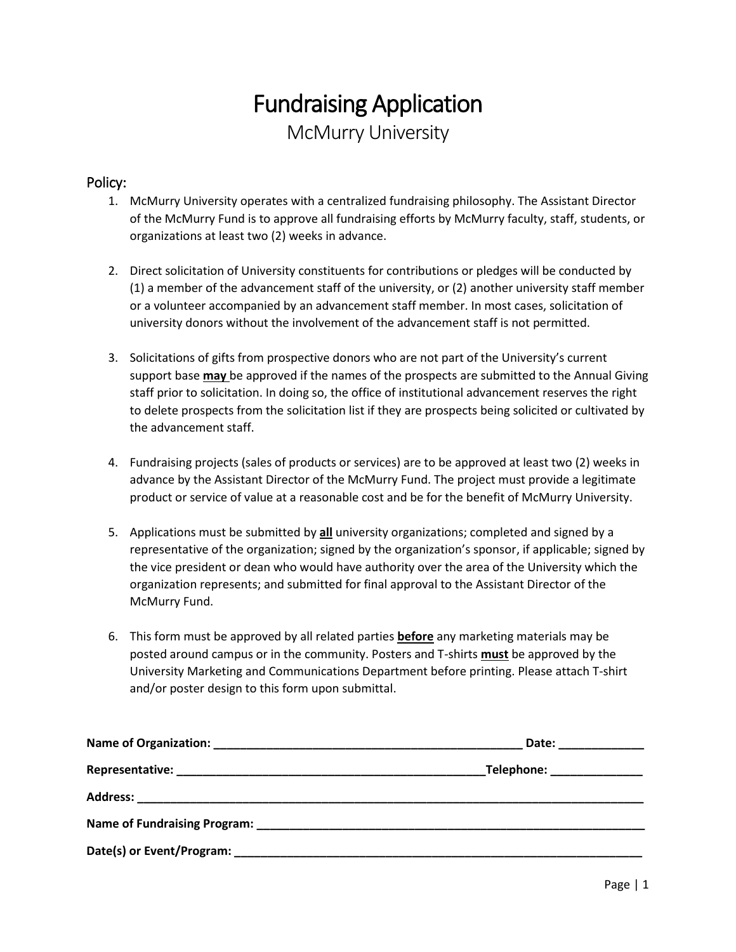## Fundraising Application McMurry University

## Policy:

- 1. McMurry University operates with a centralized fundraising philosophy. The Assistant Director of the McMurry Fund is to approve all fundraising efforts by McMurry faculty, staff, students, or organizations at least two (2) weeks in advance.
- 2. Direct solicitation of University constituents for contributions or pledges will be conducted by (1) a member of the advancement staff of the university, or (2) another university staff member or a volunteer accompanied by an advancement staff member. In most cases, solicitation of university donors without the involvement of the advancement staff is not permitted.
- 3. Solicitations of gifts from prospective donors who are not part of the University's current support base **may** be approved if the names of the prospects are submitted to the Annual Giving staff prior to solicitation. In doing so, the office of institutional advancement reserves the right to delete prospects from the solicitation list if they are prospects being solicited or cultivated by the advancement staff.
- 4. Fundraising projects (sales of products or services) are to be approved at least two (2) weeks in advance by the Assistant Director of the McMurry Fund. The project must provide a legitimate product or service of value at a reasonable cost and be for the benefit of McMurry University.
- 5. Applications must be submitted by **all** university organizations; completed and signed by a representative of the organization; signed by the organization's sponsor, if applicable; signed by the vice president or dean who would have authority over the area of the University which the organization represents; and submitted for final approval to the Assistant Director of the McMurry Fund.
- 6. This form must be approved by all related parties **before** any marketing materials may be posted around campus or in the community. Posters and T-shirts **must** be approved by the University Marketing and Communications Department before printing. Please attach T-shirt and/or poster design to this form upon submittal.

|                                                  | Date: _______________      |
|--------------------------------------------------|----------------------------|
|                                                  | Telephone: _______________ |
|                                                  |                            |
|                                                  |                            |
| Date(s) or Event/Program: ______________________ |                            |